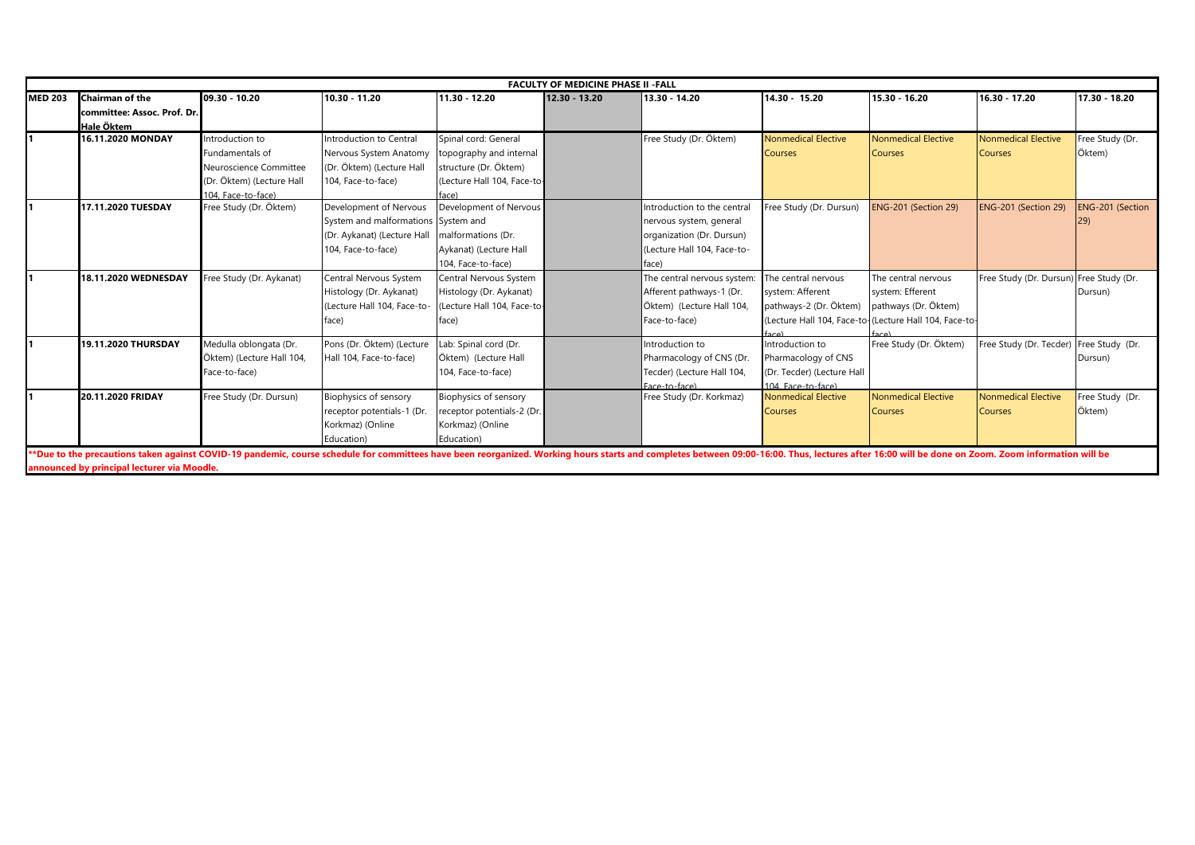|                |                                                                                                                                                                                                                               |                           |                                     |                             | <b>FACULTY OF MEDICINE PHASE II -FALL</b> |                             |                            |                                                        |                                         |                  |
|----------------|-------------------------------------------------------------------------------------------------------------------------------------------------------------------------------------------------------------------------------|---------------------------|-------------------------------------|-----------------------------|-------------------------------------------|-----------------------------|----------------------------|--------------------------------------------------------|-----------------------------------------|------------------|
| <b>MED 203</b> | Chairman of the                                                                                                                                                                                                               | 09.30 - 10.20             | 10.30 - 11.20                       | 11.30 - 12.20               | 12.30 - 13.20                             | 13.30 - 14.20               | 14.30 - 15.20              | 15.30 - 16.20                                          | 16.30 - 17.20                           | 17.30 - 18.20    |
|                | committee: Assoc. Prof. Dr.                                                                                                                                                                                                   |                           |                                     |                             |                                           |                             |                            |                                                        |                                         |                  |
|                | Hale Öktem                                                                                                                                                                                                                    |                           |                                     |                             |                                           |                             |                            |                                                        |                                         |                  |
|                | 16.11.2020 MONDAY                                                                                                                                                                                                             | ntroduction to            | Introduction to Central             | Spinal cord: General        |                                           | Free Study (Dr. Öktem)      | Nonmedical Elective        | Nonmedical Elective                                    | Nonmedical Elective                     | Free Study (Dr.  |
|                |                                                                                                                                                                                                                               | undamentals of            | Nervous System Anatomy              | topography and internal     |                                           |                             | <b>Courses</b>             | <b>Courses</b>                                         | <b>Courses</b>                          | Öktem)           |
|                |                                                                                                                                                                                                                               | Neuroscience Committee    | (Dr. Öktem) (Lecture Hall           | structure (Dr. Öktem)       |                                           |                             |                            |                                                        |                                         |                  |
|                |                                                                                                                                                                                                                               | (Dr. Öktem) (Lecture Hall | 104, Face-to-face)                  | (Lecture Hall 104, Face-to- |                                           |                             |                            |                                                        |                                         |                  |
|                |                                                                                                                                                                                                                               | 104. Face-to-face)        |                                     | face).                      |                                           |                             |                            |                                                        |                                         |                  |
|                | 17.11.2020 TUESDAY                                                                                                                                                                                                            | Free Study (Dr. Öktem)    | Development of Nervous              | Development of Nervous      |                                           | Introduction to the central | Free Study (Dr. Dursun)    | ENG-201 (Section 29)                                   | ENG-201 (Section 29)                    | ENG-201 (Section |
|                |                                                                                                                                                                                                                               |                           | System and malformations System and |                             |                                           | nervous system, general     |                            |                                                        |                                         |                  |
|                |                                                                                                                                                                                                                               |                           | (Dr. Aykanat) (Lecture Hall         | malformations (Dr.          |                                           | organization (Dr. Dursun)   |                            |                                                        |                                         |                  |
|                |                                                                                                                                                                                                                               |                           | 104, Face-to-face)                  | Aykanat) (Lecture Hall      |                                           | (Lecture Hall 104, Face-to- |                            |                                                        |                                         |                  |
|                |                                                                                                                                                                                                                               |                           |                                     | 104, Face-to-face)          |                                           | face)                       |                            |                                                        |                                         |                  |
|                | 18.11.2020 WEDNESDAY                                                                                                                                                                                                          | Free Study (Dr. Aykanat)  | Central Nervous System              | Central Nervous System      |                                           | The central nervous system: | The central nervous        | The central nervous                                    | Free Study (Dr. Dursun) Free Study (Dr. |                  |
|                |                                                                                                                                                                                                                               |                           | Histology (Dr. Aykanat)             | Histology (Dr. Aykanat)     |                                           | Afferent pathways-1 (Dr.    | system: Afferent           | system: Efferent                                       |                                         | Dursun)          |
|                |                                                                                                                                                                                                                               |                           | (Lecture Hall 104, Face-to-         | Lecture Hall 104. Face-to-  |                                           | Öktem) (Lecture Hall 104,   | pathways-2 (Dr. Öktem)     | pathways (Dr. Öktem)                                   |                                         |                  |
|                |                                                                                                                                                                                                                               |                           | face)                               | face)                       |                                           | Face-to-face)               |                            | (Lecture Hall 104, Face-to-(Lecture Hall 104, Face-to- |                                         |                  |
|                |                                                                                                                                                                                                                               |                           |                                     |                             |                                           |                             | (۵۵۵                       |                                                        |                                         |                  |
|                | 19.11.2020 THURSDAY                                                                                                                                                                                                           | Medulla oblongata (Dr.    | Pons (Dr. Öktem) (Lecture           | Lab: Spinal cord (Dr.       |                                           | Introduction to             | Introduction to            | Free Study (Dr. Öktem)                                 | Free Study (Dr. Tecder)                 | Free Study (Dr.  |
|                |                                                                                                                                                                                                                               | Öktem) (Lecture Hall 104, | Hall 104, Face-to-face)             | Öktem) (Lecture Hall        |                                           | Pharmacology of CNS (Dr.    | Pharmacology of CNS        |                                                        |                                         | Dursun)          |
|                |                                                                                                                                                                                                                               | Face-to-face)             |                                     | 104, Face-to-face)          |                                           | Tecder) (Lecture Hall 104,  | (Dr. Tecder) (Lecture Hall |                                                        |                                         |                  |
|                |                                                                                                                                                                                                                               |                           |                                     |                             |                                           | Face-to-face)               | 104 Face-to-face)          |                                                        |                                         |                  |
|                | 20.11.2020 FRIDAY                                                                                                                                                                                                             | Free Study (Dr. Dursun)   | Biophysics of sensory               | Biophysics of sensory       |                                           | Free Study (Dr. Korkmaz)    | <b>Nonmedical Elective</b> | <b>Nonmedical Elective</b>                             | <b>Nonmedical Elective</b>              | Free Study (Dr.  |
|                |                                                                                                                                                                                                                               |                           | receptor potentials-1 (Dr.          | receptor potentials-2 (Dr.  |                                           |                             | <b>Courses</b>             | <b>Courses</b>                                         | <b>Courses</b>                          | Öktem)           |
|                |                                                                                                                                                                                                                               |                           | Korkmaz) (Online                    | Korkmaz) (Online            |                                           |                             |                            |                                                        |                                         |                  |
|                |                                                                                                                                                                                                                               |                           | Education)                          | Education)                  |                                           |                             |                            |                                                        |                                         |                  |
|                | **Due to the precautions taken against COVID-19 pandemic, course schedule for committees have been reorganized. Working hours starts and completes between 09:00-16:00. Thus, lectures after 16:00 will be done on Zoom. Zoom |                           |                                     |                             |                                           |                             |                            |                                                        |                                         |                  |
|                | announced by principal lecturer via Moodle.                                                                                                                                                                                   |                           |                                     |                             |                                           |                             |                            |                                                        |                                         |                  |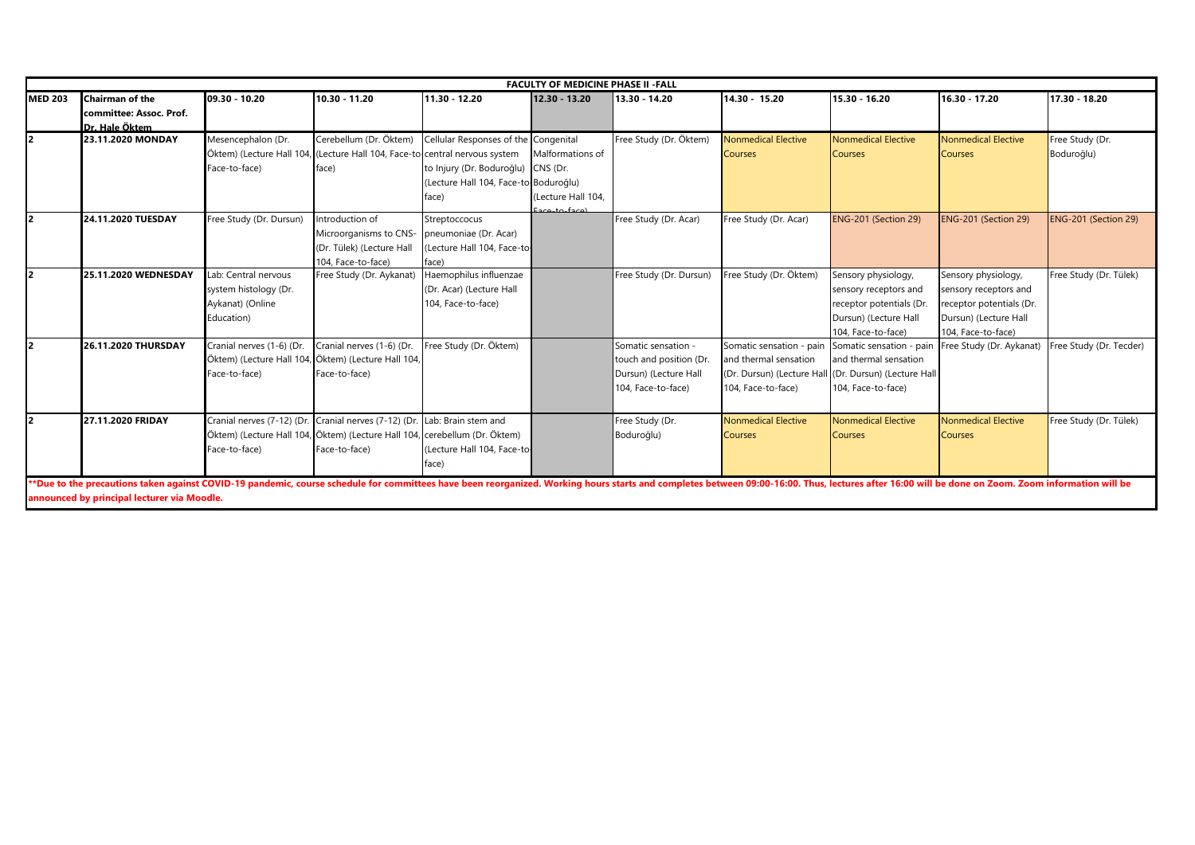| <b>MED 203</b><br>10.30 - 11.20<br>15.30 - 16.20<br><b>Chairman of the</b><br>09.30 - 10.20<br>11.30 - 12.20<br>14.30 - 15.20<br>16.30 - 17.20<br>12.30 - 13.20<br>13.30 - 14.20<br>committee: Assoc. Prof.<br>Dr. Hale Öktem<br>Cerebellum (Dr. Öktem)<br>23.11.2020 MONDAY<br>Mesencephalon (Dr.<br>Cellular Responses of the Congenital<br>Free Study (Dr. Öktem)<br><b>Nonmedical Elective</b><br><b>Nonmedical Elective</b><br><b>Nonmedical Elective</b><br>Öktem) (Lecture Hall 104,<br>(Lecture Hall 104, Face-to central nervous system<br>Malformations of<br><b>Courses</b><br><b>Courses</b><br><b>Courses</b><br>Face-to-face)<br>to Injury (Dr. Boduroğlu)<br>CNS (Dr.<br>face)<br>Lecture Hall 104, Face-to-Boduroğlu)<br>(Lecture Hall 104.<br>face)<br>Eaco-to-face)<br>24.11.2020 TUESDAY<br>Free Study (Dr. Dursun)<br>Introduction of<br>Free Study (Dr. Acar)<br>Free Study (Dr. Acar)<br>ENG-201 (Section 29)<br>ENG-201 (Section 29)<br>Streptoccocus<br>Microorganisms to CNS-<br>pneumoniae (Dr. Acar)<br>(Dr. Tülek) (Lecture Hall<br>Lecture Hall 104, Face-to-<br>104, Face-to-face)<br>face)<br>Haemophilus influenzae<br>25.11.2020 WEDNESDAY<br>Lab: Central nervous<br>Free Study (Dr. Dursun)<br>Free Study (Dr. Öktem)<br>Sensory physiology,<br>Sensory physiology,<br>Free Study (Dr. Aykanat)<br>system histology (Dr.<br>(Dr. Acar) (Lecture Hall<br>sensory receptors and<br>sensory receptors and<br>Aykanat) (Online<br>104, Face-to-face)<br>receptor potentials (Dr.<br>receptor potentials (Dr.<br>Dursun) (Lecture Hall<br>Education)<br>Dursun) (Lecture Hall<br>104, Face-to-face)<br>104, Face-to-face)<br>Free Study (Dr. Öktem)<br>Cranial nerves (1-6) (Dr.<br>Cranial nerves (1-6) (Dr.<br>26.11.2020 THURSDAY<br>Somatic sensation -<br>Somatic sensation - pair<br>Somatic sensation - pain<br>Free Study (Dr. Aykanat)<br>Öktem) (Lecture Hall 104,<br>and thermal sensation<br>Öktem) (Lecture Hall 104<br>touch and position (Dr<br>and thermal sensation<br>Face-to-face)<br>Face-to-face)<br>Dursun) (Lecture Hall<br>(Dr. Dursun) (Lecture Hall (Dr. Dursun) (Lecture Hall | 17.30 - 18.20<br>Free Study (Dr.<br>Boduroğlu) |
|----------------------------------------------------------------------------------------------------------------------------------------------------------------------------------------------------------------------------------------------------------------------------------------------------------------------------------------------------------------------------------------------------------------------------------------------------------------------------------------------------------------------------------------------------------------------------------------------------------------------------------------------------------------------------------------------------------------------------------------------------------------------------------------------------------------------------------------------------------------------------------------------------------------------------------------------------------------------------------------------------------------------------------------------------------------------------------------------------------------------------------------------------------------------------------------------------------------------------------------------------------------------------------------------------------------------------------------------------------------------------------------------------------------------------------------------------------------------------------------------------------------------------------------------------------------------------------------------------------------------------------------------------------------------------------------------------------------------------------------------------------------------------------------------------------------------------------------------------------------------------------------------------------------------------------------------------------------------------------------------------------------------------------------------------------------------------------------------------------------------------------------|------------------------------------------------|
|                                                                                                                                                                                                                                                                                                                                                                                                                                                                                                                                                                                                                                                                                                                                                                                                                                                                                                                                                                                                                                                                                                                                                                                                                                                                                                                                                                                                                                                                                                                                                                                                                                                                                                                                                                                                                                                                                                                                                                                                                                                                                                                                        |                                                |
|                                                                                                                                                                                                                                                                                                                                                                                                                                                                                                                                                                                                                                                                                                                                                                                                                                                                                                                                                                                                                                                                                                                                                                                                                                                                                                                                                                                                                                                                                                                                                                                                                                                                                                                                                                                                                                                                                                                                                                                                                                                                                                                                        |                                                |
|                                                                                                                                                                                                                                                                                                                                                                                                                                                                                                                                                                                                                                                                                                                                                                                                                                                                                                                                                                                                                                                                                                                                                                                                                                                                                                                                                                                                                                                                                                                                                                                                                                                                                                                                                                                                                                                                                                                                                                                                                                                                                                                                        |                                                |
|                                                                                                                                                                                                                                                                                                                                                                                                                                                                                                                                                                                                                                                                                                                                                                                                                                                                                                                                                                                                                                                                                                                                                                                                                                                                                                                                                                                                                                                                                                                                                                                                                                                                                                                                                                                                                                                                                                                                                                                                                                                                                                                                        |                                                |
|                                                                                                                                                                                                                                                                                                                                                                                                                                                                                                                                                                                                                                                                                                                                                                                                                                                                                                                                                                                                                                                                                                                                                                                                                                                                                                                                                                                                                                                                                                                                                                                                                                                                                                                                                                                                                                                                                                                                                                                                                                                                                                                                        |                                                |
|                                                                                                                                                                                                                                                                                                                                                                                                                                                                                                                                                                                                                                                                                                                                                                                                                                                                                                                                                                                                                                                                                                                                                                                                                                                                                                                                                                                                                                                                                                                                                                                                                                                                                                                                                                                                                                                                                                                                                                                                                                                                                                                                        |                                                |
|                                                                                                                                                                                                                                                                                                                                                                                                                                                                                                                                                                                                                                                                                                                                                                                                                                                                                                                                                                                                                                                                                                                                                                                                                                                                                                                                                                                                                                                                                                                                                                                                                                                                                                                                                                                                                                                                                                                                                                                                                                                                                                                                        |                                                |
|                                                                                                                                                                                                                                                                                                                                                                                                                                                                                                                                                                                                                                                                                                                                                                                                                                                                                                                                                                                                                                                                                                                                                                                                                                                                                                                                                                                                                                                                                                                                                                                                                                                                                                                                                                                                                                                                                                                                                                                                                                                                                                                                        |                                                |
|                                                                                                                                                                                                                                                                                                                                                                                                                                                                                                                                                                                                                                                                                                                                                                                                                                                                                                                                                                                                                                                                                                                                                                                                                                                                                                                                                                                                                                                                                                                                                                                                                                                                                                                                                                                                                                                                                                                                                                                                                                                                                                                                        |                                                |
|                                                                                                                                                                                                                                                                                                                                                                                                                                                                                                                                                                                                                                                                                                                                                                                                                                                                                                                                                                                                                                                                                                                                                                                                                                                                                                                                                                                                                                                                                                                                                                                                                                                                                                                                                                                                                                                                                                                                                                                                                                                                                                                                        | ENG-201 (Section 29)                           |
|                                                                                                                                                                                                                                                                                                                                                                                                                                                                                                                                                                                                                                                                                                                                                                                                                                                                                                                                                                                                                                                                                                                                                                                                                                                                                                                                                                                                                                                                                                                                                                                                                                                                                                                                                                                                                                                                                                                                                                                                                                                                                                                                        |                                                |
| I2                                                                                                                                                                                                                                                                                                                                                                                                                                                                                                                                                                                                                                                                                                                                                                                                                                                                                                                                                                                                                                                                                                                                                                                                                                                                                                                                                                                                                                                                                                                                                                                                                                                                                                                                                                                                                                                                                                                                                                                                                                                                                                                                     |                                                |
|                                                                                                                                                                                                                                                                                                                                                                                                                                                                                                                                                                                                                                                                                                                                                                                                                                                                                                                                                                                                                                                                                                                                                                                                                                                                                                                                                                                                                                                                                                                                                                                                                                                                                                                                                                                                                                                                                                                                                                                                                                                                                                                                        | Free Study (Dr. Tülek)                         |
|                                                                                                                                                                                                                                                                                                                                                                                                                                                                                                                                                                                                                                                                                                                                                                                                                                                                                                                                                                                                                                                                                                                                                                                                                                                                                                                                                                                                                                                                                                                                                                                                                                                                                                                                                                                                                                                                                                                                                                                                                                                                                                                                        |                                                |
|                                                                                                                                                                                                                                                                                                                                                                                                                                                                                                                                                                                                                                                                                                                                                                                                                                                                                                                                                                                                                                                                                                                                                                                                                                                                                                                                                                                                                                                                                                                                                                                                                                                                                                                                                                                                                                                                                                                                                                                                                                                                                                                                        |                                                |
|                                                                                                                                                                                                                                                                                                                                                                                                                                                                                                                                                                                                                                                                                                                                                                                                                                                                                                                                                                                                                                                                                                                                                                                                                                                                                                                                                                                                                                                                                                                                                                                                                                                                                                                                                                                                                                                                                                                                                                                                                                                                                                                                        |                                                |
|                                                                                                                                                                                                                                                                                                                                                                                                                                                                                                                                                                                                                                                                                                                                                                                                                                                                                                                                                                                                                                                                                                                                                                                                                                                                                                                                                                                                                                                                                                                                                                                                                                                                                                                                                                                                                                                                                                                                                                                                                                                                                                                                        |                                                |
|                                                                                                                                                                                                                                                                                                                                                                                                                                                                                                                                                                                                                                                                                                                                                                                                                                                                                                                                                                                                                                                                                                                                                                                                                                                                                                                                                                                                                                                                                                                                                                                                                                                                                                                                                                                                                                                                                                                                                                                                                                                                                                                                        | Free Study (Dr. Tecder)                        |
|                                                                                                                                                                                                                                                                                                                                                                                                                                                                                                                                                                                                                                                                                                                                                                                                                                                                                                                                                                                                                                                                                                                                                                                                                                                                                                                                                                                                                                                                                                                                                                                                                                                                                                                                                                                                                                                                                                                                                                                                                                                                                                                                        |                                                |
|                                                                                                                                                                                                                                                                                                                                                                                                                                                                                                                                                                                                                                                                                                                                                                                                                                                                                                                                                                                                                                                                                                                                                                                                                                                                                                                                                                                                                                                                                                                                                                                                                                                                                                                                                                                                                                                                                                                                                                                                                                                                                                                                        |                                                |
|                                                                                                                                                                                                                                                                                                                                                                                                                                                                                                                                                                                                                                                                                                                                                                                                                                                                                                                                                                                                                                                                                                                                                                                                                                                                                                                                                                                                                                                                                                                                                                                                                                                                                                                                                                                                                                                                                                                                                                                                                                                                                                                                        |                                                |
| 104, Face-to-face)<br>104, Face-to-face)<br>104, Face-to-face)                                                                                                                                                                                                                                                                                                                                                                                                                                                                                                                                                                                                                                                                                                                                                                                                                                                                                                                                                                                                                                                                                                                                                                                                                                                                                                                                                                                                                                                                                                                                                                                                                                                                                                                                                                                                                                                                                                                                                                                                                                                                         |                                                |
| Cranial nerves (7-12) (Dr.<br>Cranial nerves (7-12) (Dr.<br><b>Nonmedical Elective</b><br><b>Nonmedical Elective</b><br><b>Nonmedical Elective</b><br>12<br>27.11.2020 FRIDAY<br>Lab: Brain stem and<br>Free Study (Dr.                                                                                                                                                                                                                                                                                                                                                                                                                                                                                                                                                                                                                                                                                                                                                                                                                                                                                                                                                                                                                                                                                                                                                                                                                                                                                                                                                                                                                                                                                                                                                                                                                                                                                                                                                                                                                                                                                                                | Free Study (Dr. Tülek)                         |
| Öktem) (Lecture Hall 104, Öktem) (Lecture Hall 104, cerebellum (Dr. Öktem)<br>Boduroğlu)<br><b>Courses</b><br>Courses<br>Courses                                                                                                                                                                                                                                                                                                                                                                                                                                                                                                                                                                                                                                                                                                                                                                                                                                                                                                                                                                                                                                                                                                                                                                                                                                                                                                                                                                                                                                                                                                                                                                                                                                                                                                                                                                                                                                                                                                                                                                                                       |                                                |
| Face-to-face)<br>Face-to-face)<br>Lecture Hall 104, Face-to-                                                                                                                                                                                                                                                                                                                                                                                                                                                                                                                                                                                                                                                                                                                                                                                                                                                                                                                                                                                                                                                                                                                                                                                                                                                                                                                                                                                                                                                                                                                                                                                                                                                                                                                                                                                                                                                                                                                                                                                                                                                                           |                                                |
| ace)                                                                                                                                                                                                                                                                                                                                                                                                                                                                                                                                                                                                                                                                                                                                                                                                                                                                                                                                                                                                                                                                                                                                                                                                                                                                                                                                                                                                                                                                                                                                                                                                                                                                                                                                                                                                                                                                                                                                                                                                                                                                                                                                   |                                                |
|                                                                                                                                                                                                                                                                                                                                                                                                                                                                                                                                                                                                                                                                                                                                                                                                                                                                                                                                                                                                                                                                                                                                                                                                                                                                                                                                                                                                                                                                                                                                                                                                                                                                                                                                                                                                                                                                                                                                                                                                                                                                                                                                        |                                                |
| **Due to the precautions taken against COVID-19 pandemic, course schedule for committees have been reorganized. Working hours starts and completes between 09:00-16:00. Thus, lectures after 16:00 will be done on Zoom. Zoom<br>announced by principal lecturer via Moodle.                                                                                                                                                                                                                                                                                                                                                                                                                                                                                                                                                                                                                                                                                                                                                                                                                                                                                                                                                                                                                                                                                                                                                                                                                                                                                                                                                                                                                                                                                                                                                                                                                                                                                                                                                                                                                                                           |                                                |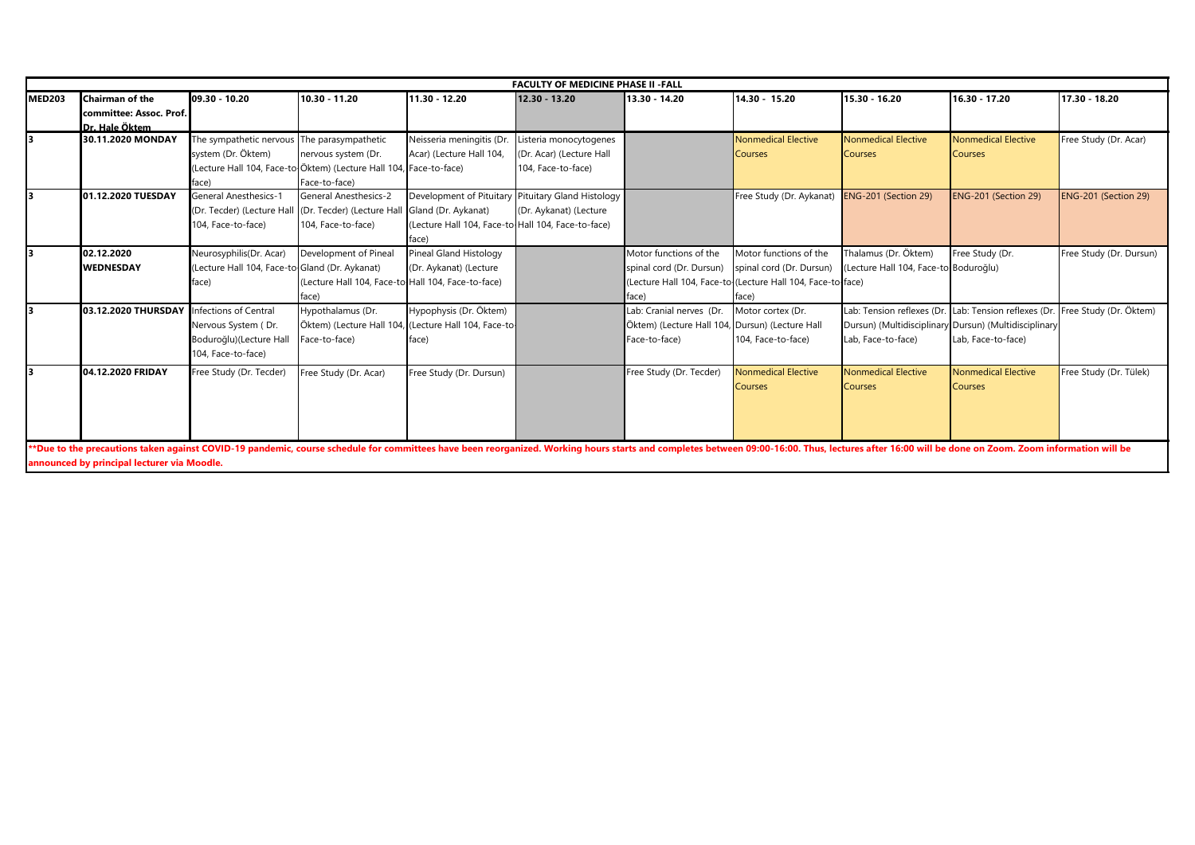|               |                                                                                                                                                                                                                               |                                                |                                                                    |                                                    | <b>FACULTY OF MEDICINE PHASE II - FALL</b> |                          |                                                             |                                       |                                                       |                         |
|---------------|-------------------------------------------------------------------------------------------------------------------------------------------------------------------------------------------------------------------------------|------------------------------------------------|--------------------------------------------------------------------|----------------------------------------------------|--------------------------------------------|--------------------------|-------------------------------------------------------------|---------------------------------------|-------------------------------------------------------|-------------------------|
| <b>MED203</b> | <b>Chairman of the</b>                                                                                                                                                                                                        | 09.30 - 10.20                                  | 10.30 - 11.20                                                      | 11.30 - 12.20                                      | 12.30 - 13.20                              | 13.30 - 14.20            | 14.30 - 15.20                                               | 15.30 - 16.20                         | 16.30 - 17.20                                         | 17.30 - 18.20           |
|               | committee: Assoc. Prof.                                                                                                                                                                                                       |                                                |                                                                    |                                                    |                                            |                          |                                                             |                                       |                                                       |                         |
|               | Dr. Hale Öktem                                                                                                                                                                                                                |                                                |                                                                    |                                                    |                                            |                          |                                                             |                                       |                                                       |                         |
|               | 30.11.2020 MONDAY                                                                                                                                                                                                             | The sympathetic nervous The parasympathetic    |                                                                    | Neisseria meningitis (Dr.                          | isteria monocytogenes                      |                          | <b>Nonmedical Elective</b>                                  | <b>Nonmedical Elective</b>            | <b>Nonmedical Elective</b>                            | Free Study (Dr. Acar)   |
|               |                                                                                                                                                                                                                               | system (Dr. Öktem)                             | nervous system (Dr.                                                | Acar) (Lecture Hall 104,                           | (Dr. Acar) (Lecture Hall                   |                          | <b>Courses</b>                                              | <b>Courses</b>                        | <b>Courses</b>                                        |                         |
|               |                                                                                                                                                                                                                               |                                                | (Lecture Hall 104, Face-to-Öktem) (Lecture Hall 104, Face-to-face) |                                                    | 104, Face-to-face)                         |                          |                                                             |                                       |                                                       |                         |
|               |                                                                                                                                                                                                                               | face)                                          | Face-to-face)                                                      |                                                    |                                            |                          |                                                             |                                       |                                                       |                         |
|               | 01.12.2020 TUESDAY                                                                                                                                                                                                            | <b>General Anesthesics-1</b>                   | <b>General Anesthesics-2</b>                                       | Development of Pituitary                           | Pituitary Gland Histology                  |                          | Free Study (Dr. Aykanat)                                    | ENG-201 (Section 29)                  | ENG-201 (Section 29)                                  | ENG-201 (Section 29)    |
|               |                                                                                                                                                                                                                               | (Dr. Tecder) (Lecture Hall                     | (Dr. Tecder) (Lecture Hall Gland (Dr. Aykanat)                     |                                                    | (Dr. Aykanat) (Lecture                     |                          |                                                             |                                       |                                                       |                         |
|               |                                                                                                                                                                                                                               | 104, Face-to-face)                             | 104, Face-to-face)                                                 | (Lecture Hall 104, Face-to-Hall 104, Face-to-face) |                                            |                          |                                                             |                                       |                                                       |                         |
|               |                                                                                                                                                                                                                               |                                                |                                                                    | face)                                              |                                            |                          |                                                             |                                       |                                                       |                         |
|               | 02.12.2020                                                                                                                                                                                                                    | Neurosyphilis(Dr. Acar)                        | Development of Pineal                                              | Pineal Gland Histology                             |                                            | Motor functions of the   | Motor functions of the                                      | Thalamus (Dr. Öktem)                  | Free Study (Dr.                                       | Free Study (Dr. Dursun) |
|               | <b>WEDNESDAY</b>                                                                                                                                                                                                              | (Lecture Hall 104, Face-to-Gland (Dr. Aykanat) |                                                                    | (Dr. Aykanat) (Lecture                             |                                            | spinal cord (Dr. Dursun) | spinal cord (Dr. Dursun)                                    | (Lecture Hall 104, Face-to Boduroğlu) |                                                       |                         |
|               |                                                                                                                                                                                                                               | face)                                          | (Lecture Hall 104, Face-to-Hall 104, Face-to-face)                 |                                                    |                                            |                          | (Lecture Hall 104, Face-to-(Lecture Hall 104, Face-to-face) |                                       |                                                       |                         |
|               |                                                                                                                                                                                                                               |                                                | face)                                                              |                                                    |                                            | face)                    | face)                                                       |                                       |                                                       |                         |
|               | 03.12.2020 THURSDAY                                                                                                                                                                                                           | Infections of Central                          | Hypothalamus (Dr.                                                  | Hypophysis (Dr. Öktem)                             |                                            | Lab: Cranial nerves (Dr. | Motor cortex (Dr.                                           | Lab: Tension reflexes (Dr             | Lab: Tension reflexes (Dr.                            | Free Study (Dr. Öktem)  |
|               |                                                                                                                                                                                                                               | Nervous System (Dr.                            | Öktem) (Lecture Hall 104, (Lecture Hall 104, Face-to-              |                                                    |                                            | Öktem) (Lecture Hall 104 | Dursun) (Lecture Hall                                       |                                       | Dursun) (Multidisciplinary Dursun) (Multidisciplinary |                         |
|               |                                                                                                                                                                                                                               | Boduroğlu)(Lecture Hall                        | Face-to-face)                                                      | face)                                              |                                            | Face-to-face)            | 104, Face-to-face)                                          | Lab, Face-to-face)                    | Lab, Face-to-face)                                    |                         |
|               |                                                                                                                                                                                                                               | 104, Face-to-face)                             |                                                                    |                                                    |                                            |                          |                                                             |                                       |                                                       |                         |
|               | 04.12.2020 FRIDAY                                                                                                                                                                                                             | Free Study (Dr. Tecder)                        | Free Study (Dr. Acar)                                              | Free Study (Dr. Dursun)                            |                                            | Free Study (Dr. Tecder)  | <b>Nonmedical Elective</b>                                  | Nonmedical Elective                   | <b>Nonmedical Elective</b>                            | Free Study (Dr. Tülek)  |
|               |                                                                                                                                                                                                                               |                                                |                                                                    |                                                    |                                            |                          | <b>Courses</b>                                              | <b>Courses</b>                        | Courses                                               |                         |
|               |                                                                                                                                                                                                                               |                                                |                                                                    |                                                    |                                            |                          |                                                             |                                       |                                                       |                         |
|               |                                                                                                                                                                                                                               |                                                |                                                                    |                                                    |                                            |                          |                                                             |                                       |                                                       |                         |
|               |                                                                                                                                                                                                                               |                                                |                                                                    |                                                    |                                            |                          |                                                             |                                       |                                                       |                         |
|               |                                                                                                                                                                                                                               |                                                |                                                                    |                                                    |                                            |                          |                                                             |                                       |                                                       |                         |
|               | **Due to the precautions taken against COVID-19 pandemic, course schedule for committees have been reorganized. Working hours starts and completes between 09:00-16:00. Thus, lectures after 16:00 will be done on Zoom. Zoom |                                                |                                                                    |                                                    |                                            |                          |                                                             |                                       |                                                       |                         |
|               | announced by principal lecturer via Moodle.                                                                                                                                                                                   |                                                |                                                                    |                                                    |                                            |                          |                                                             |                                       |                                                       |                         |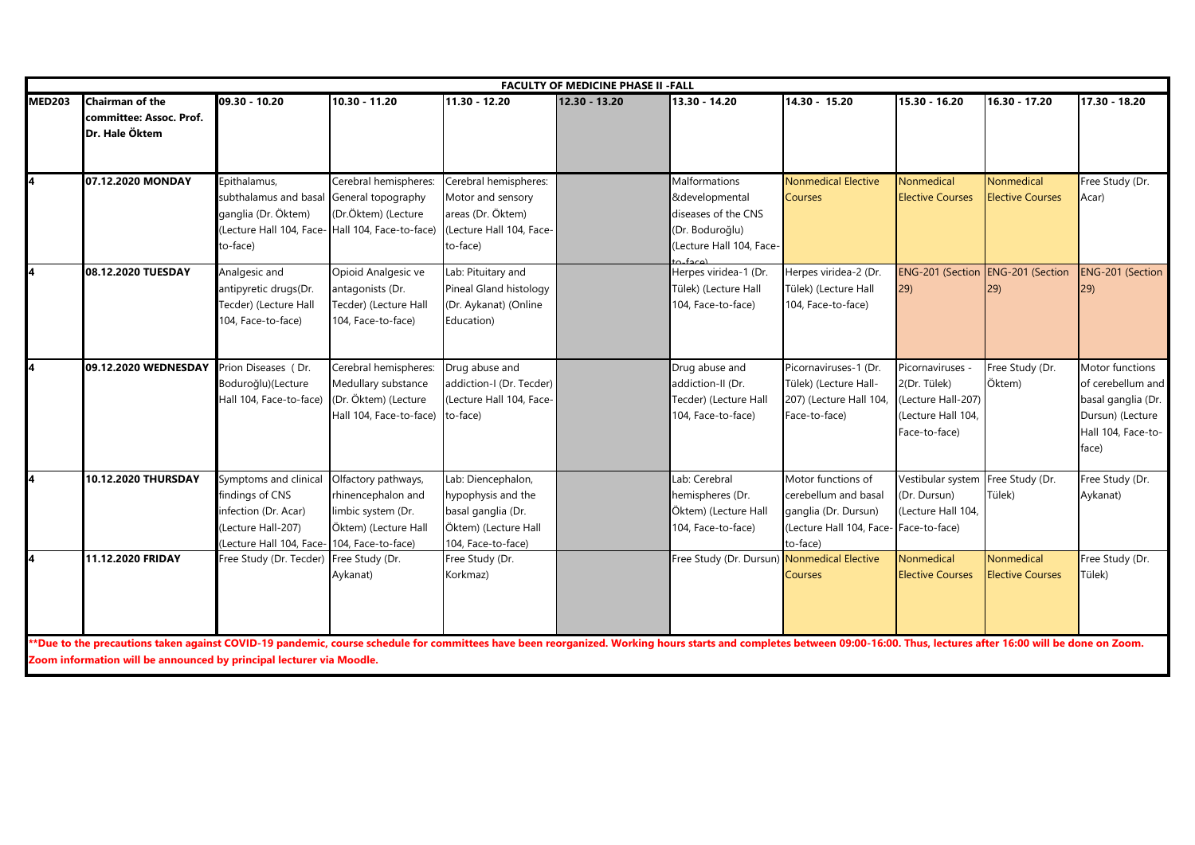|               | <b>FACULTY OF MEDICINE PHASE II - FALL</b>                          |                                                                                                                                       |                                                                                                 |                                                                                                              |               |                                                                                                                              |                                                                                                                          |                                                                                               |                                       |                                                                                                               |  |  |  |
|---------------|---------------------------------------------------------------------|---------------------------------------------------------------------------------------------------------------------------------------|-------------------------------------------------------------------------------------------------|--------------------------------------------------------------------------------------------------------------|---------------|------------------------------------------------------------------------------------------------------------------------------|--------------------------------------------------------------------------------------------------------------------------|-----------------------------------------------------------------------------------------------|---------------------------------------|---------------------------------------------------------------------------------------------------------------|--|--|--|
| <b>MED203</b> | <b>Chairman of the</b><br>committee: Assoc. Prof.<br>Dr. Hale Öktem | 09.30 - 10.20                                                                                                                         | $10.30 - 11.20$                                                                                 | 11.30 - 12.20                                                                                                | 12.30 - 13.20 | 13.30 - 14.20                                                                                                                | 14.30 - 15.20                                                                                                            | 15.30 - 16.20                                                                                 | 16.30 - 17.20                         | 17.30 - 18.20                                                                                                 |  |  |  |
| 4             | 07.12.2020 MONDAY                                                   | Epithalamus,<br>subthalamus and basa<br>ganglia (Dr. Öktem)<br>(Lecture Hall 104, Face- Hall 104, Face-to-face)<br>to-face)           | Cerebral hemispheres:<br>General topography<br>(Dr.Öktem) (Lecture                              | Cerebral hemispheres:<br>Motor and sensory<br>areas (Dr. Öktem)<br>(Lecture Hall 104, Face-<br>to-face)      |               | <b>Malformations</b><br>&developmental<br>diseases of the CNS<br>(Dr. Boduroğlu)<br>(Lecture Hall 104, Face-<br>$frac{1}{2}$ | <b>Nonmedical Elective</b><br><b>Courses</b>                                                                             | Nonmedical<br><b>Elective Courses</b>                                                         | Nonmedical<br><b>Elective Courses</b> | Free Study (Dr.<br>Acar)                                                                                      |  |  |  |
| 4             | 08.12.2020 TUESDAY                                                  | Analgesic and<br>antipyretic drugs(Dr.<br>Tecder) (Lecture Hall<br>104, Face-to-face)                                                 | Opioid Analgesic ve<br>antagonists (Dr.<br>Tecder) (Lecture Hall<br>104, Face-to-face)          | Lab: Pituitary and<br>Pineal Gland histology<br>(Dr. Aykanat) (Online<br>Education)                          |               | Herpes viridea-1 (Dr.<br>Tülek) (Lecture Hall<br>104, Face-to-face)                                                          | Herpes viridea-2 (Dr.<br>Tülek) (Lecture Hall<br>104, Face-to-face)                                                      | ENG-201 (Section ENG-201 (Section<br>29)                                                      | 29)                                   | <b>ENG-201 (Section</b><br>29)                                                                                |  |  |  |
| 4             | 09.12.2020 WEDNESDAY                                                | Prion Diseases (Dr.<br>Boduroğlu)(Lecture<br>Hall 104, Face-to-face)                                                                  | Cerebral hemispheres:<br>Medullary substance<br>(Dr. Öktem) (Lecture<br>Hall 104, Face-to-face) | Drug abuse and<br>addiction-I (Dr. Tecder)<br>Lecture Hall 104, Face-<br>to-face)                            |               | Drug abuse and<br>addiction-II (Dr.<br>Tecder) (Lecture Hall<br>104, Face-to-face)                                           | Picornaviruses-1 (Dr.<br>Tülek) (Lecture Hall-<br>207) (Lecture Hall 104<br>Face-to-face)                                | Picornaviruses -<br>2(Dr. Tülek)<br>(Lecture Hall-207)<br>(Lecture Hall 104,<br>Face-to-face) | Free Study (Dr.<br>Öktem)             | Motor functions<br>of cerebellum and<br>basal ganglia (Dr.<br>Dursun) (Lecture<br>Hall 104, Face-to-<br>face) |  |  |  |
| 4             | 10.12.2020 THURSDAY                                                 | Symptoms and clinical<br>findings of CNS<br>infection (Dr. Acar)<br>(Lecture Hall-207)<br>(Lecture Hall 104, Face- 104, Face-to-face) | Olfactory pathways,<br>rhinencephalon and<br>limbic system (Dr.<br>Öktem) (Lecture Hall         | Lab: Diencephalon,<br>hypophysis and the<br>basal ganglia (Dr.<br>Öktem) (Lecture Hall<br>104, Face-to-face) |               | Lab: Cerebral<br>hemispheres (Dr.<br>Öktem) (Lecture Hall<br>104, Face-to-face)                                              | Motor functions of<br>cerebellum and basal<br>ganglia (Dr. Dursun)<br>(Lecture Hall 104, Face- Face-to-face)<br>to-face) | Vestibular system<br>(Dr. Dursun)<br>(Lecture Hall 104,                                       | Free Study (Dr.<br>Tülek)             | Free Study (Dr.<br>Aykanat)                                                                                   |  |  |  |
| 4             | 11.12.2020 FRIDAY                                                   | Free Study (Dr. Tecder)                                                                                                               | Free Study (Dr.<br>Aykanat)                                                                     | Free Study (Dr.<br>Korkmaz)                                                                                  |               | Free Study (Dr. Dursun) Nonmedical Elective                                                                                  | <b>Courses</b>                                                                                                           | Nonmedical<br><b>Elective Courses</b>                                                         | Nonmedical<br><b>Elective Courses</b> | Free Study (Dr.<br>Tülek)                                                                                     |  |  |  |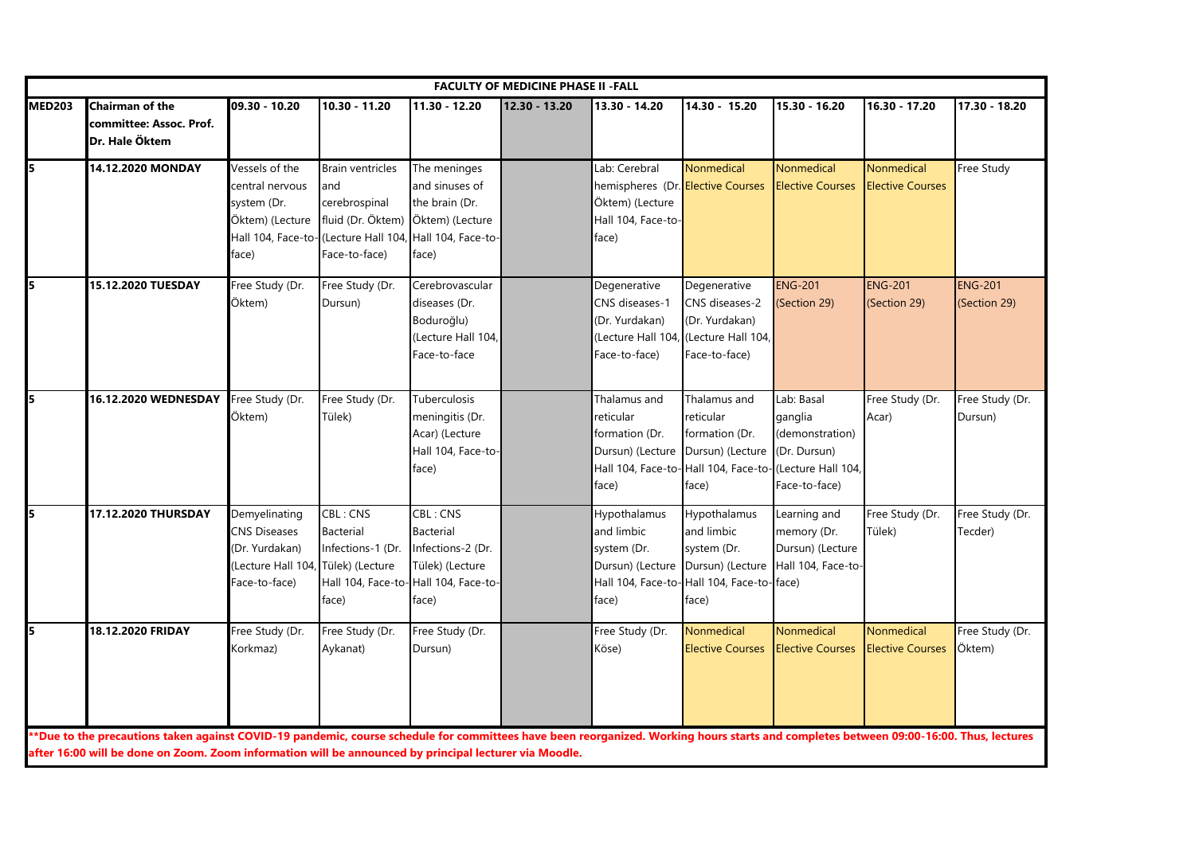|               |                                                                                                                                                                                                                                                                                                  |                                                                                                    |                                                                                       |                                                                                                                       | <b>FACULTY OF MEDICINE PHASE II - FALL</b> |                                                                                                      |                                                                                                                                    |                                                                           |                                       |                                |
|---------------|--------------------------------------------------------------------------------------------------------------------------------------------------------------------------------------------------------------------------------------------------------------------------------------------------|----------------------------------------------------------------------------------------------------|---------------------------------------------------------------------------------------|-----------------------------------------------------------------------------------------------------------------------|--------------------------------------------|------------------------------------------------------------------------------------------------------|------------------------------------------------------------------------------------------------------------------------------------|---------------------------------------------------------------------------|---------------------------------------|--------------------------------|
| <b>MED203</b> | <b>Chairman of the</b><br>committee: Assoc. Prof.<br>Dr. Hale Öktem                                                                                                                                                                                                                              | $09.30 - 10.20$                                                                                    | 10.30 - 11.20                                                                         | 11.30 - 12.20                                                                                                         | 12.30 - 13.20                              | 13.30 - 14.20                                                                                        | 14.30 - 15.20                                                                                                                      | 15.30 - 16.20                                                             | 16.30 - 17.20                         | 17.30 - 18.20                  |
| 5             | 14.12.2020 MONDAY                                                                                                                                                                                                                                                                                | Vessels of the<br>central nervous<br>system (Dr.<br>Öktem) (Lecture<br>Hall 104, Face-to-<br>face) | <b>Brain ventricles</b><br>and<br>cerebrospinal<br>fluid (Dr. Öktem)<br>Face-to-face) | The meninges<br>and sinuses of<br>the brain (Dr.<br>Öktem) (Lecture<br>(Lecture Hall 104, Hall 104, Face-to-<br>face) |                                            | Lab: Cerebral<br>hemispheres (Dr. Elective Courses<br>Öktem) (Lecture<br>Hall 104, Face-to-<br>face) | Nonmedical                                                                                                                         | Nonmedical<br><b>Elective Courses</b>                                     | Nonmedical<br><b>Elective Courses</b> | Free Study                     |
| 5             | 15.12.2020 TUESDAY                                                                                                                                                                                                                                                                               | Free Study (Dr.<br>Öktem)                                                                          | Free Study (Dr.<br>Dursun)                                                            | Cerebrovascular<br>diseases (Dr.<br>Boduroğlu)<br>(Lecture Hall 104,<br>Face-to-face                                  |                                            | Degenerative<br>CNS diseases-1<br>(Dr. Yurdakan)<br>Face-to-face)                                    | Degenerative<br>CNS diseases-2<br>(Dr. Yurdakan)<br>(Lecture Hall 104, (Lecture Hall 104,<br>Face-to-face)                         | <b>ENG-201</b><br>(Section 29)                                            | <b>ENG-201</b><br>(Section 29)        | <b>ENG-201</b><br>(Section 29) |
| 5             | 16.12.2020 WEDNESDAY                                                                                                                                                                                                                                                                             | Free Study (Dr.<br>Öktem)                                                                          | Free Study (Dr.<br>Tülek)                                                             | Tuberculosis<br>meningitis (Dr.<br>Acar) (Lecture<br>Hall 104, Face-to-<br>face)                                      |                                            | Thalamus and<br>reticular<br>formation (Dr.<br>Dursun) (Lecture<br>face)                             | Thalamus and<br>reticular<br>formation (Dr.<br>Dursun) (Lecture<br>Hall 104, Face-to-Hall 104, Face-to-(Lecture Hall 104,<br>face) | Lab: Basal<br>ganglia<br>(demonstration)<br>(Dr. Dursun)<br>Face-to-face) | Free Study (Dr.<br>Acar)              | Free Study (Dr.<br>Dursun)     |
| 5             | 17.12.2020 THURSDAY                                                                                                                                                                                                                                                                              | Demyelinating<br><b>CNS Diseases</b><br>(Dr. Yurdakan)<br>Lecture Hall 104,<br>Face-to-face)       | CBL: CNS<br>Bacterial<br>Infections-1 (Dr.<br>Tülek) (Lecture<br>face)                | CBL: CNS<br>Bacterial<br>Infections-2 (Dr.<br>Tülek) (Lecture<br>Hall 104, Face-to- Hall 104, Face-to-<br>face)       |                                            | Hypothalamus<br>and limbic<br>system (Dr.<br>Dursun) (Lecture<br>face)                               | Hypothalamus<br>and limbic<br>system (Dr.<br>Dursun) (Lecture<br>Hall 104, Face-to-Hall 104, Face-to-face)<br>face)                | Learning and<br>memory (Dr.<br>Dursun) (Lecture<br>Hall 104, Face-to-     | Free Study (Dr.<br>Tülek)             | Free Study (Dr.<br>Tecder)     |
| 5             | 18.12.2020 FRIDAY                                                                                                                                                                                                                                                                                | Free Study (Dr.<br>Korkmaz)                                                                        | Free Study (Dr.<br>Aykanat)                                                           | Free Study (Dr.<br>Dursun)                                                                                            |                                            | Free Study (Dr.<br>Köse)                                                                             | Nonmedical<br><b>Elective Courses</b>                                                                                              | Nonmedical<br><b>Elective Courses</b>                                     | Nonmedical<br><b>Elective Courses</b> | Free Study (Dr.<br>Öktem)      |
|               | **Due to the precautions taken against COVID-19 pandemic, course schedule for committees have been reorganized. Working hours starts and completes between 09:00-16:00. Thus, lectures<br>after 16:00 will be done on Zoom. Zoom information will be announced by principal lecturer via Moodle. |                                                                                                    |                                                                                       |                                                                                                                       |                                            |                                                                                                      |                                                                                                                                    |                                                                           |                                       |                                |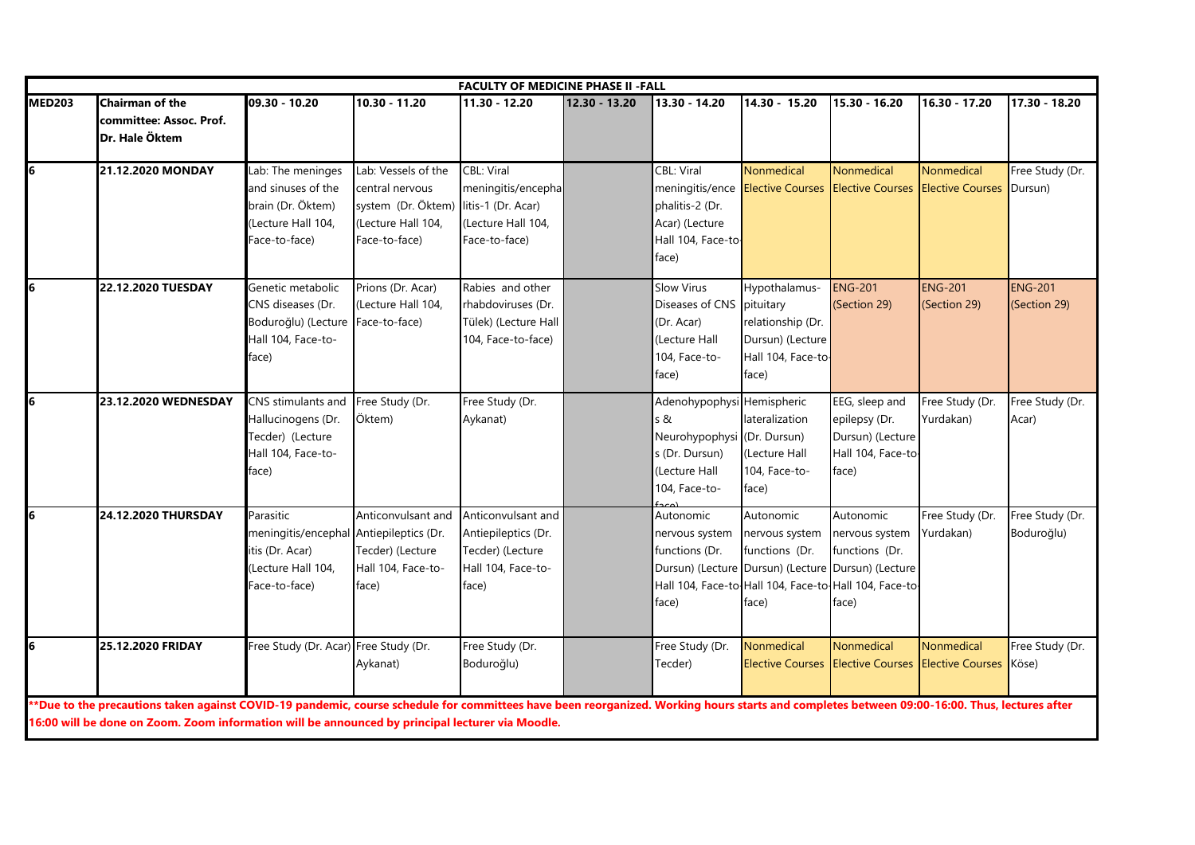|                 | <b>FACULTY OF MEDICINE PHASE II -FALL</b>                                                                                                                                                                                                                                                       |                                                                                                                |                                                                                                                        |                                                                                              |               |                                                                                                                      |                                                                                                                                                                       |                                                                                          |                                |                                |  |  |  |
|-----------------|-------------------------------------------------------------------------------------------------------------------------------------------------------------------------------------------------------------------------------------------------------------------------------------------------|----------------------------------------------------------------------------------------------------------------|------------------------------------------------------------------------------------------------------------------------|----------------------------------------------------------------------------------------------|---------------|----------------------------------------------------------------------------------------------------------------------|-----------------------------------------------------------------------------------------------------------------------------------------------------------------------|------------------------------------------------------------------------------------------|--------------------------------|--------------------------------|--|--|--|
| <b>MED203</b>   | <b>Chairman of the</b><br>committee: Assoc. Prof.<br>Dr. Hale Öktem                                                                                                                                                                                                                             | 09.30 - 10.20                                                                                                  | 10.30 - 11.20                                                                                                          | 11.30 - 12.20                                                                                | 12.30 - 13.20 | 13.30 - 14.20                                                                                                        | 14.30 - 15.20                                                                                                                                                         | 15.30 - 16.20                                                                            | 16.30 - 17.20                  | 17.30 - 18.20                  |  |  |  |
| $6\overline{6}$ | <b>21.12.2020 MONDAY</b>                                                                                                                                                                                                                                                                        | Lab: The meninges<br>and sinuses of the<br>brain (Dr. Öktem)<br>(Lecture Hall 104,<br>Face-to-face)            | Lab: Vessels of the<br>central nervous<br>system (Dr. Öktem) litis-1 (Dr. Acar)<br>(Lecture Hall 104,<br>Face-to-face) | <b>CBL: Viral</b><br>meningitis/encepha<br>(Lecture Hall 104,<br>Face-to-face)               |               | CBL: Viral<br>phalitis-2 (Dr.<br>Acar) (Lecture<br>Hall 104, Face-to-<br>face)                                       | Nonmedical                                                                                                                                                            | Nonmedical<br>meningitis/ence Elective Courses Elective Courses Elective Courses Dursun) | Nonmedical                     | Free Study (Dr.                |  |  |  |
| 6               | 22.12.2020 TUESDAY                                                                                                                                                                                                                                                                              | Genetic metabolic<br>CNS diseases (Dr.<br>Boduroğlu) (Lecture<br>Hall 104, Face-to-<br>face)                   | Prions (Dr. Acar)<br>(Lecture Hall 104,<br>Face-to-face)                                                               | Rabies and other<br>rhabdoviruses (Dr.<br>Tülek) (Lecture Hall<br>104, Face-to-face)         |               | <b>Slow Virus</b><br>Diseases of CNS pituitary<br>(Dr. Acar)<br>(Lecture Hall<br>104, Face-to-<br>face)              | Hypothalamus-<br>relationship (Dr.<br>Dursun) (Lecture<br>Hall 104, Face-to-<br>face)                                                                                 | <b>ENG-201</b><br>(Section 29)                                                           | <b>ENG-201</b><br>(Section 29) | <b>ENG-201</b><br>(Section 29) |  |  |  |
| 6               | 23.12.2020 WEDNESDAY                                                                                                                                                                                                                                                                            | CNS stimulants and<br>Hallucinogens (Dr.<br>Tecder) (Lecture<br>Hall 104, Face-to-<br>face)                    | Free Study (Dr.<br>Öktem)                                                                                              | Free Study (Dr.<br>Aykanat)                                                                  |               | Adenohypophysi Hemispheric<br>s &<br>Neurohypophysi (Dr. Dursun)<br>s (Dr. Dursun)<br>(Lecture Hall<br>104, Face-to- | lateralization<br>Lecture Hall<br>104, Face-to-<br>face)                                                                                                              | EEG, sleep and<br>epilepsy (Dr.<br>Dursun) (Lecture<br>Hall 104, Face-to<br>face)        | Free Study (Dr.<br>Yurdakan)   | Free Study (Dr.<br>Acar)       |  |  |  |
| 6               | 24.12.2020 THURSDAY                                                                                                                                                                                                                                                                             | Parasitic<br>meningitis/encephal Antiepileptics (Dr.<br>itis (Dr. Acar)<br>(Lecture Hall 104,<br>Face-to-face) | Anticonvulsant and<br>Tecder) (Lecture<br>Hall 104, Face-to-<br>face)                                                  | Anticonvulsant and<br>Antiepileptics (Dr.<br>Tecder) (Lecture<br>Hall 104, Face-to-<br>face) |               | Autonomic<br>nervous system<br>functions (Dr.<br>face)                                                               | Autonomic<br>nervous system<br>functions (Dr.<br>Dursun) (Lecture Dursun) (Lecture Dursun) (Lecture<br>Hall 104, Face-to-Hall 104, Face-to-Hall 104, Face-to<br>face) | Autonomic<br>nervous system<br>functions (Dr.<br>face)                                   | Free Study (Dr.<br>Yurdakan)   | Free Study (Dr.<br>Boduroğlu)  |  |  |  |
| 6               | <b>25.12.2020 FRIDAY</b>                                                                                                                                                                                                                                                                        | Free Study (Dr. Acar) Free Study (Dr.                                                                          | Aykanat)                                                                                                               | Free Study (Dr.<br>Boduroğlu)                                                                |               | Free Study (Dr.<br>Tecder)                                                                                           | Nonmedical                                                                                                                                                            | Nonmedical<br>Elective Courses Elective Courses Elective Courses Köse)                   | Nonmedical                     | Free Study (Dr.                |  |  |  |
|                 | *Due to the precautions taken against COVID-19 pandemic, course schedule for committees have been reorganized. Working hours starts and completes between 09:00-16:00. Thus, lectures after<br>16:00 will be done on Zoom. Zoom information will be announced by principal lecturer via Moodle. |                                                                                                                |                                                                                                                        |                                                                                              |               |                                                                                                                      |                                                                                                                                                                       |                                                                                          |                                |                                |  |  |  |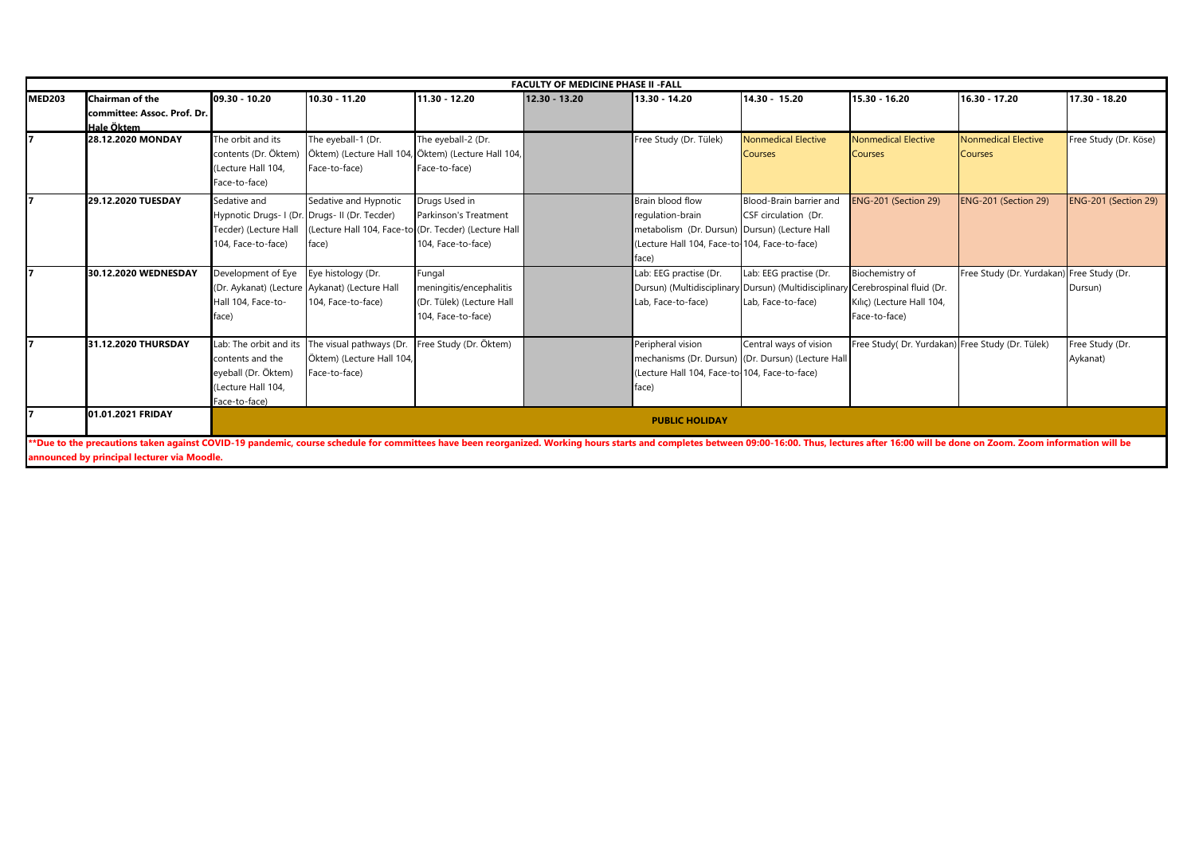|               | <b>FACULTY OF MEDICINE PHASE II -FALL</b>                                                                                                                                                                                     |                        |                                               |                                                      |               |                                               |                                                    |                                                  |                                           |                       |  |  |  |
|---------------|-------------------------------------------------------------------------------------------------------------------------------------------------------------------------------------------------------------------------------|------------------------|-----------------------------------------------|------------------------------------------------------|---------------|-----------------------------------------------|----------------------------------------------------|--------------------------------------------------|-------------------------------------------|-----------------------|--|--|--|
| <b>MED203</b> | Chairman of the                                                                                                                                                                                                               | 09.30 - 10.20          | $10.30 - 11.20$                               | 11.30 - 12.20                                        | 12.30 - 13.20 | 13.30 - 14.20                                 | 14.30 - 15.20                                      | 15.30 - 16.20                                    | 16.30 - 17.20                             | 17.30 - 18.20         |  |  |  |
|               | committee: Assoc. Prof. Dr.                                                                                                                                                                                                   |                        |                                               |                                                      |               |                                               |                                                    |                                                  |                                           |                       |  |  |  |
|               | Hale Öktem                                                                                                                                                                                                                    |                        |                                               |                                                      |               |                                               |                                                    |                                                  |                                           |                       |  |  |  |
|               | 28.12.2020 MONDAY                                                                                                                                                                                                             | The orbit and its      | The eyeball-1 (Dr.                            | The eyeball-2 (Dr.                                   |               | Free Study (Dr. Tülek)                        | <b>Nonmedical Elective</b>                         | <b>Nonmedical Elective</b>                       | <b>Nonmedical Elective</b>                | Free Study (Dr. Köse) |  |  |  |
|               |                                                                                                                                                                                                                               | contents (Dr. Öktem)   |                                               | Öktem) (Lecture Hall 104, Öktem) (Lecture Hall 104,  |               |                                               | <b>Courses</b>                                     | Courses                                          | <b>Courses</b>                            |                       |  |  |  |
|               |                                                                                                                                                                                                                               | Lecture Hall 104       | Face-to-face)                                 | Face-to-face)                                        |               |                                               |                                                    |                                                  |                                           |                       |  |  |  |
|               |                                                                                                                                                                                                                               | Face-to-face)          |                                               |                                                      |               |                                               |                                                    |                                                  |                                           |                       |  |  |  |
|               | 29.12.2020 TUESDAY                                                                                                                                                                                                            | Sedative and           | Sedative and Hypnotic                         | Drugs Used in                                        |               | Brain blood flow                              | Blood-Brain barrier and                            | ENG-201 (Section 29)                             | ENG-201 (Section 29)                      | ENG-201 (Section 29)  |  |  |  |
|               |                                                                                                                                                                                                                               |                        | Hypnotic Drugs- I (Dr. Drugs- II (Dr. Tecder) | Parkinson's Treatment                                |               | regulation-brain                              | CSF circulation (Dr.                               |                                                  |                                           |                       |  |  |  |
|               |                                                                                                                                                                                                                               | Tecder) (Lecture Hall  |                                               | Lecture Hall 104, Face-to-(Dr. Tecder) (Lecture Hall |               | metabolism (Dr. Dursun)                       | ) Dursun) (Lecture Hall                            |                                                  |                                           |                       |  |  |  |
|               |                                                                                                                                                                                                                               | 104. Face-to-face)     | face)                                         | 104. Face-to-face)                                   |               | (Lecture Hall 104, Face-to-104, Face-to-face) |                                                    |                                                  |                                           |                       |  |  |  |
|               |                                                                                                                                                                                                                               |                        |                                               |                                                      |               | face)                                         |                                                    |                                                  |                                           |                       |  |  |  |
|               | 30.12.2020 WEDNESDAY                                                                                                                                                                                                          | Development of Eye     | Eye histology (Dr.                            | Fungal                                               |               | Lab: EEG practise (Dr.                        | Lab: EEG practise (Dr.                             | Biochemistry of                                  | Free Study (Dr. Yurdakan) Free Study (Dr. |                       |  |  |  |
|               |                                                                                                                                                                                                                               |                        | (Dr. Aykanat) (Lecture Aykanat) (Lecture Hall | meningitis/encephalitis                              |               | Dursun) (Multidisciplinary                    | Dursun) (Multidisciplinar                          | Cerebrospinal fluid (Dr.                         |                                           | Dursun)               |  |  |  |
|               |                                                                                                                                                                                                                               | Hall 104. Face-to-     | 104, Face-to-face)                            | (Dr. Tülek) (Lecture Hall                            |               | Lab, Face-to-face)                            | Lab, Face-to-face)                                 | Kılıç) (Lecture Hall 104,                        |                                           |                       |  |  |  |
|               |                                                                                                                                                                                                                               | face)                  |                                               | 104, Face-to-face)                                   |               |                                               |                                                    | Face-to-face)                                    |                                           |                       |  |  |  |
|               | 31.12.2020 THURSDAY                                                                                                                                                                                                           | Lab: The orbit and its | The visual pathways (Dr.                      | Free Study (Dr. Öktem)                               |               | Peripheral vision                             | Central ways of vision                             | Free Study( Dr. Yurdakan) Free Study (Dr. Tülek) |                                           | Free Study (Dr.       |  |  |  |
|               |                                                                                                                                                                                                                               | contents and the       | Öktem) (Lecture Hall 104,                     |                                                      |               |                                               | mechanisms (Dr. Dursun) (Dr. Dursun) (Lecture Hall |                                                  |                                           | Aykanat)              |  |  |  |
|               |                                                                                                                                                                                                                               | eveball (Dr. Öktem)    | Face-to-face)                                 |                                                      |               | (Lecture Hall 104, Face-to-104, Face-to-face) |                                                    |                                                  |                                           |                       |  |  |  |
|               |                                                                                                                                                                                                                               | Lecture Hall 104       |                                               |                                                      |               | face)                                         |                                                    |                                                  |                                           |                       |  |  |  |
|               |                                                                                                                                                                                                                               | Face-to-face)          |                                               |                                                      |               |                                               |                                                    |                                                  |                                           |                       |  |  |  |
|               | 01.01.2021 FRIDAY                                                                                                                                                                                                             |                        |                                               |                                                      |               | <b>PUBLIC HOLIDAY</b>                         |                                                    |                                                  |                                           |                       |  |  |  |
|               |                                                                                                                                                                                                                               |                        |                                               |                                                      |               |                                               |                                                    |                                                  |                                           |                       |  |  |  |
|               | **Due to the precautions taken against COVID-19 pandemic, course schedule for committees have been reorganized. Working hours starts and completes between 09:00-16:00. Thus, lectures after 16:00 will be done on Zoom. Zoom |                        |                                               |                                                      |               |                                               |                                                    |                                                  |                                           |                       |  |  |  |
|               | announced by principal lecturer via Moodle.                                                                                                                                                                                   |                        |                                               |                                                      |               |                                               |                                                    |                                                  |                                           |                       |  |  |  |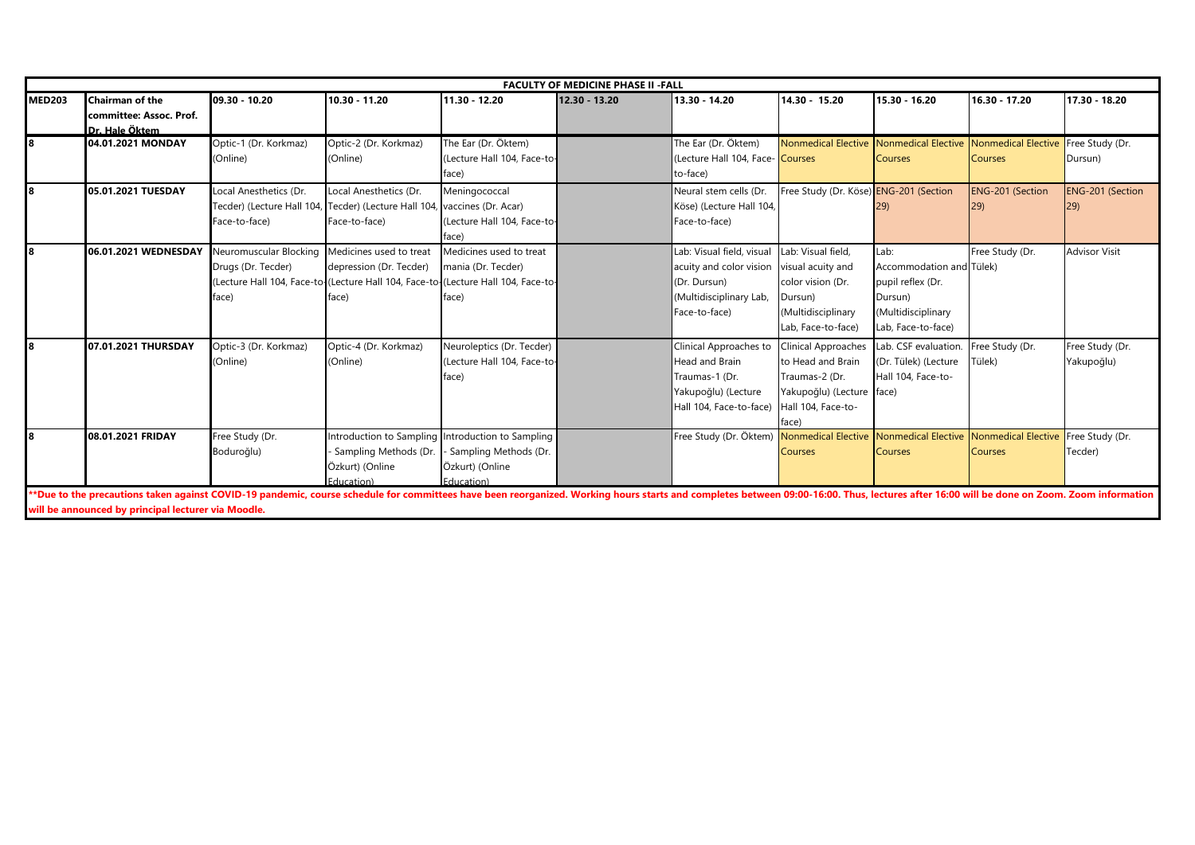|               | <b>FACULTY OF MEDICINE PHASE II - FALL</b>                                                                                                                                                                                    |                                                |                                                                                  |                                                   |               |                                  |                                                             |                          |                         |                      |  |  |  |
|---------------|-------------------------------------------------------------------------------------------------------------------------------------------------------------------------------------------------------------------------------|------------------------------------------------|----------------------------------------------------------------------------------|---------------------------------------------------|---------------|----------------------------------|-------------------------------------------------------------|--------------------------|-------------------------|----------------------|--|--|--|
| <b>MED203</b> | <b>Chairman of the</b>                                                                                                                                                                                                        | 09.30 - 10.20                                  | 10.30 - 11.20                                                                    | 11.30 - 12.20                                     | 12.30 - 13.20 | 13.30 - 14.20                    | 14.30 - 15.20                                               | 15.30 - 16.20            | 16.30 - 17.20           | 17.30 - 18.20        |  |  |  |
|               | committee: Assoc. Prof.                                                                                                                                                                                                       |                                                |                                                                                  |                                                   |               |                                  |                                                             |                          |                         |                      |  |  |  |
|               | Dr. Hale Öktem                                                                                                                                                                                                                |                                                |                                                                                  |                                                   |               |                                  |                                                             |                          |                         |                      |  |  |  |
| l8            | 04.01.2021 MONDAY                                                                                                                                                                                                             | Optic-1 (Dr. Korkmaz)                          | Optic-2 (Dr. Korkmaz)                                                            | The Ear (Dr. Öktem)                               |               | The Ear (Dr. Öktem)              | Nonmedical Elective                                         | Nonmedical Elective      | Nonmedical Elective     | Free Study (Dr.      |  |  |  |
|               |                                                                                                                                                                                                                               | (Online)                                       | (Online)                                                                         | (Lecture Hall 104, Face-to-                       |               | (Lecture Hall 104, Face- Courses |                                                             | <b>Courses</b>           | <b>Courses</b>          | Dursun)              |  |  |  |
|               |                                                                                                                                                                                                                               |                                                |                                                                                  | face)                                             |               | to-face)                         |                                                             |                          |                         |                      |  |  |  |
| l8            | 05.01.2021 TUESDAY                                                                                                                                                                                                            | Local Anesthetics (Dr.                         | Local Anesthetics (Dr.                                                           | Meningococcal                                     |               | Neural stem cells (Dr.           | Free Study (Dr. Köse) ENG-201 (Section                      |                          | <b>ENG-201 (Section</b> | ENG-201 (Section     |  |  |  |
|               |                                                                                                                                                                                                                               |                                                | Tecder) (Lecture Hall 104, Tecder) (Lecture Hall 104, vaccines (Dr. Acar)        |                                                   |               | Köse) (Lecture Hall 104,         |                                                             | <b>29)</b>               | <b>29</b>               |                      |  |  |  |
|               |                                                                                                                                                                                                                               | Face-to-face)                                  | Face-to-face)                                                                    | (Lecture Hall 104, Face-to-                       |               | Face-to-face)                    |                                                             |                          |                         |                      |  |  |  |
|               |                                                                                                                                                                                                                               |                                                |                                                                                  | face)                                             |               |                                  |                                                             |                          |                         |                      |  |  |  |
| l8            | 06.01.2021 WEDNESDAY                                                                                                                                                                                                          | Neuromuscular Blocking Medicines used to treat |                                                                                  | Medicines used to treat                           |               | Lab: Visual field, visual        | Lab: Visual field,                                          | Lab:                     | Free Study (Dr.         | <b>Advisor Visit</b> |  |  |  |
|               |                                                                                                                                                                                                                               | Drugs (Dr. Tecder)                             | depression (Dr. Tecder)                                                          | mania (Dr. Tecder)                                |               | acuity and color vision          | visual acuity and                                           | Accommodation and Tülek) |                         |                      |  |  |  |
|               |                                                                                                                                                                                                                               |                                                | Lecture Hall 104, Face-to-(Lecture Hall 104, Face-to-(Lecture Hall 104, Face-to- |                                                   |               | (Dr. Dursun)                     | color vision (Dr.                                           | pupil reflex (Dr.        |                         |                      |  |  |  |
|               |                                                                                                                                                                                                                               | face)                                          | face)                                                                            | face)                                             |               | (Multidisciplinary Lab,          | Dursun)                                                     | Dursun)                  |                         |                      |  |  |  |
|               |                                                                                                                                                                                                                               |                                                |                                                                                  |                                                   |               | Face-to-face)                    | (Multidisciplinary                                          | (Multidisciplinary       |                         |                      |  |  |  |
|               |                                                                                                                                                                                                                               |                                                |                                                                                  |                                                   |               |                                  | Lab. Face-to-face)                                          | Lab, Face-to-face)       |                         |                      |  |  |  |
| l8            | 07.01.2021 THURSDAY                                                                                                                                                                                                           | Optic-3 (Dr. Korkmaz)                          | Optic-4 (Dr. Korkmaz)                                                            | Neuroleptics (Dr. Tecder)                         |               | Clinical Approaches to           | <b>Clinical Approaches</b>                                  | Lab. CSF evaluation.     | Free Study (Dr.         | Free Study (Dr.      |  |  |  |
|               |                                                                                                                                                                                                                               | (Online)                                       | (Online)                                                                         | (Lecture Hall 104, Face-to-                       |               | <b>Head and Brain</b>            | to Head and Brain                                           | (Dr. Tülek) (Lecture     | Tülek)                  | Yakupoğlu)           |  |  |  |
|               |                                                                                                                                                                                                                               |                                                |                                                                                  | face)                                             |               | Traumas-1 (Dr.                   | Traumas-2 (Dr.                                              | Hall 104, Face-to-       |                         |                      |  |  |  |
|               |                                                                                                                                                                                                                               |                                                |                                                                                  |                                                   |               | Yakupoğlu) (Lecture              | Yakupoğlu) (Lecture face)                                   |                          |                         |                      |  |  |  |
|               |                                                                                                                                                                                                                               |                                                |                                                                                  |                                                   |               | Hall 104, Face-to-face)          | Hall 104, Face-to-                                          |                          |                         |                      |  |  |  |
|               |                                                                                                                                                                                                                               |                                                |                                                                                  |                                                   |               |                                  | face)                                                       |                          |                         |                      |  |  |  |
| l8            | 08.01.2021 FRIDAY                                                                                                                                                                                                             | Free Study (Dr.                                |                                                                                  | Introduction to Sampling Introduction to Sampling |               | Free Study (Dr. Öktem)           | Nonmedical Elective Nonmedical Elective Nonmedical Elective |                          |                         | Free Study (Dr.      |  |  |  |
|               |                                                                                                                                                                                                                               | Boduroğlu)                                     | · Sampling Methods (Dr.                                                          | - Sampling Methods (Dr.                           |               |                                  | <b>Courses</b>                                              | <b>Courses</b>           | <b>Courses</b>          | Tecder)              |  |  |  |
|               |                                                                                                                                                                                                                               |                                                | Özkurt) (Online                                                                  | Özkurt) (Online                                   |               |                                  |                                                             |                          |                         |                      |  |  |  |
|               |                                                                                                                                                                                                                               |                                                | <b>Education</b> )                                                               | <b>Education</b> )                                |               |                                  |                                                             |                          |                         |                      |  |  |  |
|               | **Due to the precautions taken against COVID-19 pandemic, course schedule for committees have been reorganized. Working hours starts and completes between 09:00-16:00. Thus, lectures after 16:00 will be done on Zoom. Zoom |                                                |                                                                                  |                                                   |               |                                  |                                                             |                          |                         |                      |  |  |  |
|               | will be announced by principal lecturer via Moodle.                                                                                                                                                                           |                                                |                                                                                  |                                                   |               |                                  |                                                             |                          |                         |                      |  |  |  |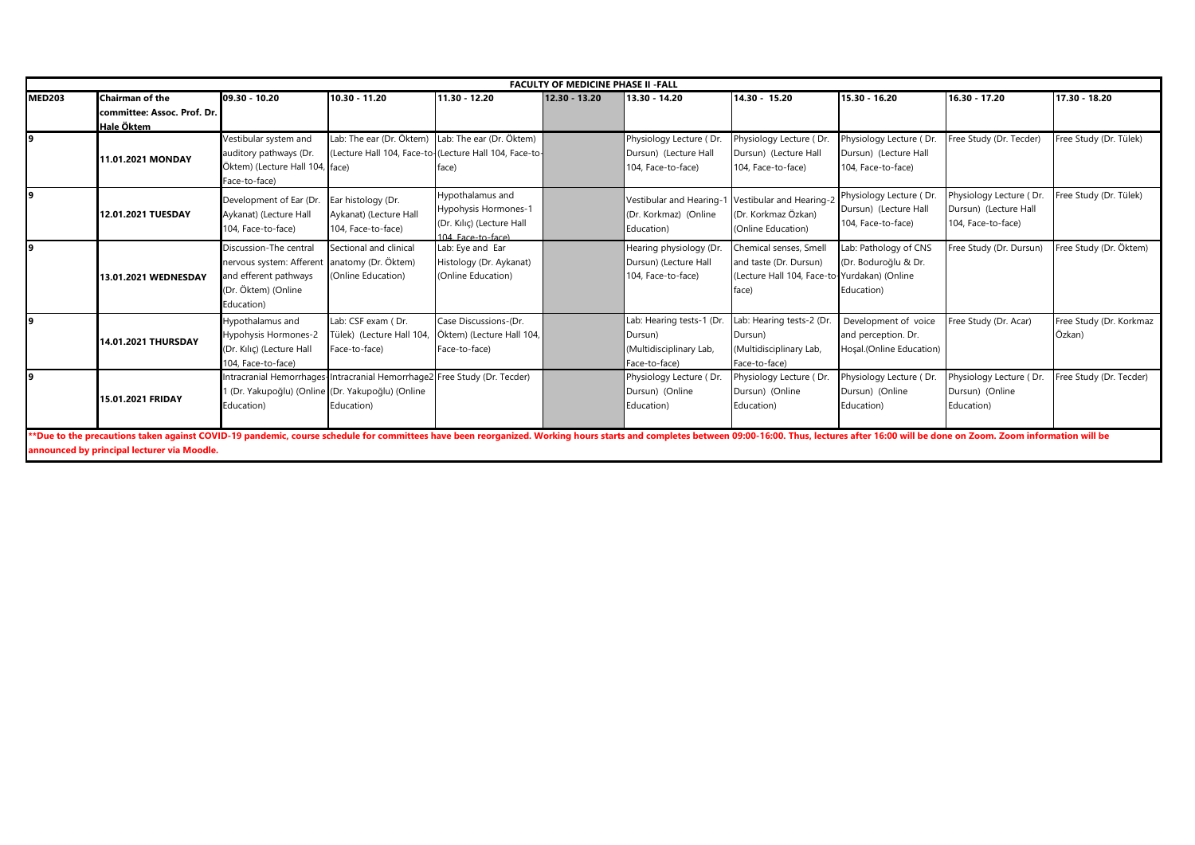|               | <b>FACULTY OF MEDICINE PHASE II - FALL</b>                                                                                                                                                                                    |                                                   |                                                                           |                                                        |               |                           |                                              |                          |                         |                         |  |  |  |
|---------------|-------------------------------------------------------------------------------------------------------------------------------------------------------------------------------------------------------------------------------|---------------------------------------------------|---------------------------------------------------------------------------|--------------------------------------------------------|---------------|---------------------------|----------------------------------------------|--------------------------|-------------------------|-------------------------|--|--|--|
| <b>MED203</b> | Chairman of the                                                                                                                                                                                                               | 09.30 - 10.20                                     | 10.30 - 11.20                                                             | 11.30 - 12.20                                          | 12.30 - 13.20 | 13.30 - 14.20             | 14.30 - 15.20                                | 15.30 - 16.20            | 16.30 - 17.20           | 17.30 - 18.20           |  |  |  |
|               | committee: Assoc. Prof. Dr.                                                                                                                                                                                                   |                                                   |                                                                           |                                                        |               |                           |                                              |                          |                         |                         |  |  |  |
|               | Hale Öktem                                                                                                                                                                                                                    |                                                   |                                                                           |                                                        |               |                           |                                              |                          |                         |                         |  |  |  |
| 9             |                                                                                                                                                                                                                               | Vestibular system and                             | Lab: The ear (Dr. Öktem) Lab: The ear (Dr. Öktem)                         |                                                        |               | Physiology Lecture (Dr.   | Physiology Lecture (Dr.                      | Physiology Lecture (Dr.  | Free Study (Dr. Tecder) | Free Study (Dr. Tülek)  |  |  |  |
|               | 11.01.2021 MONDAY                                                                                                                                                                                                             | auditory pathways (Dr.                            |                                                                           | (Lecture Hall 104, Face-to-(Lecture Hall 104, Face-to- |               | Dursun) (Lecture Hall     | Dursun) (Lecture Hall                        | Dursun) (Lecture Hall    |                         |                         |  |  |  |
|               |                                                                                                                                                                                                                               | Öktem) (Lecture Hall 104, face)                   |                                                                           | face)                                                  |               | 104. Face-to-face)        | 104, Face-to-face)                           | 104. Face-to-face)       |                         |                         |  |  |  |
|               |                                                                                                                                                                                                                               | Face-to-face)                                     |                                                                           |                                                        |               |                           |                                              |                          |                         |                         |  |  |  |
| Ι9            |                                                                                                                                                                                                                               | Development of Ear (Dr.                           | Ear histology (Dr.                                                        | Hypothalamus and                                       |               | Vestibular and Hearing-   | Vestibular and Hearing-2                     | Physiology Lecture (Dr.  | Physiology Lecture (Dr. | Free Study (Dr. Tülek)  |  |  |  |
|               | 12.01.2021 TUESDAY                                                                                                                                                                                                            | Aykanat) (Lecture Hall                            | Aykanat) (Lecture Hall                                                    | Hypohysis Hormones-1                                   |               | (Dr. Korkmaz) (Online     | (Dr. Korkmaz Özkan)                          | Dursun) (Lecture Hall    | Dursun) (Lecture Hall   |                         |  |  |  |
|               |                                                                                                                                                                                                                               | 104, Face-to-face)                                | 104, Face-to-face)                                                        | (Dr. Kılıç) (Lecture Hall                              |               | Education)                | (Online Education)                           | 104, Face-to-face)       | 104, Face-to-face)      |                         |  |  |  |
|               |                                                                                                                                                                                                                               |                                                   |                                                                           | 104 Face-to-face)                                      |               |                           |                                              |                          |                         |                         |  |  |  |
| Ι9            |                                                                                                                                                                                                                               | Discussion-The central                            | Sectional and clinical                                                    | Lab: Eye and Ear                                       |               | Hearing physiology (Dr.   | Chemical senses, Smell                       | Lab: Pathology of CNS    | Free Study (Dr. Dursun) | Free Study (Dr. Öktem)  |  |  |  |
|               |                                                                                                                                                                                                                               | nervous system: Afferent                          | anatomy (Dr. Öktem)                                                       | Histology (Dr. Aykanat)                                |               | Dursun) (Lecture Hall     | and taste (Dr. Dursun)                       | (Dr. Boduroğlu & Dr.     |                         |                         |  |  |  |
|               | 13.01.2021 WEDNESDAY                                                                                                                                                                                                          | and efferent pathways                             | (Online Education)                                                        | (Online Education)                                     |               | 104, Face-to-face)        | (Lecture Hall 104, Face-to-Yurdakan) (Online |                          |                         |                         |  |  |  |
|               |                                                                                                                                                                                                                               | (Dr. Öktem) (Online                               |                                                                           |                                                        |               |                           | face)                                        | Education)               |                         |                         |  |  |  |
|               |                                                                                                                                                                                                                               | Education)                                        |                                                                           |                                                        |               |                           |                                              |                          |                         |                         |  |  |  |
| l9.           |                                                                                                                                                                                                                               | Hypothalamus and                                  | Lab: CSF exam (Dr.                                                        | Case Discussions-(Dr.                                  |               | Lab: Hearing tests-1 (Dr. | Lab: Hearing tests-2 (Dr.                    | Development of voice     | Free Study (Dr. Acar)   | Free Study (Dr. Korkmaz |  |  |  |
|               | 14.01.2021 THURSDAY                                                                                                                                                                                                           | Hypohysis Hormones-2                              | Tülek) (Lecture Hall 104                                                  | Öktem) (Lecture Hall 104,                              |               | Dursun)                   | Dursun)                                      | and perception. Dr.      |                         | Özkan)                  |  |  |  |
|               |                                                                                                                                                                                                                               | (Dr. Kılıç) (Lecture Hall                         | Face-to-face)                                                             | Face-to-face)                                          |               | (Multidisciplinary Lab,   | (Multidisciplinary Lab,                      | Hosal.(Online Education) |                         |                         |  |  |  |
|               |                                                                                                                                                                                                                               | 104, Face-to-face)                                |                                                                           |                                                        |               | Face-to-face)             | Face-to-face)                                |                          |                         |                         |  |  |  |
| l9            |                                                                                                                                                                                                                               |                                                   | Intracranial Hemorrhages-Intracranial Hemorrhage2 Free Study (Dr. Tecder) |                                                        |               | Physiology Lecture (Dr.   | Physiology Lecture (Dr.                      | Physiology Lecture (Dr.  | Physiology Lecture (Dr. | Free Study (Dr. Tecder) |  |  |  |
|               |                                                                                                                                                                                                                               | 1 (Dr. Yakupoğlu) (Online (Dr. Yakupoğlu) (Online |                                                                           |                                                        |               | Dursun) (Online           | Dursun) (Online                              | Dursun) (Online          | Dursun) (Online         |                         |  |  |  |
|               | 15.01.2021 FRIDAY                                                                                                                                                                                                             | Education)                                        | Education)                                                                |                                                        |               | Education)                | Education)                                   | Education)               | Education)              |                         |  |  |  |
|               |                                                                                                                                                                                                                               |                                                   |                                                                           |                                                        |               |                           |                                              |                          |                         |                         |  |  |  |
|               | **Due to the precautions taken against COVID-19 pandemic, course schedule for committees have been reorganized. Working hours starts and completes between 09:00-16:00. Thus, lectures after 16:00 will be done on Zoom. Zoom |                                                   |                                                                           |                                                        |               |                           |                                              |                          |                         |                         |  |  |  |
|               | announced by principal lecturer via Moodle.                                                                                                                                                                                   |                                                   |                                                                           |                                                        |               |                           |                                              |                          |                         |                         |  |  |  |
|               |                                                                                                                                                                                                                               |                                                   |                                                                           |                                                        |               |                           |                                              |                          |                         |                         |  |  |  |